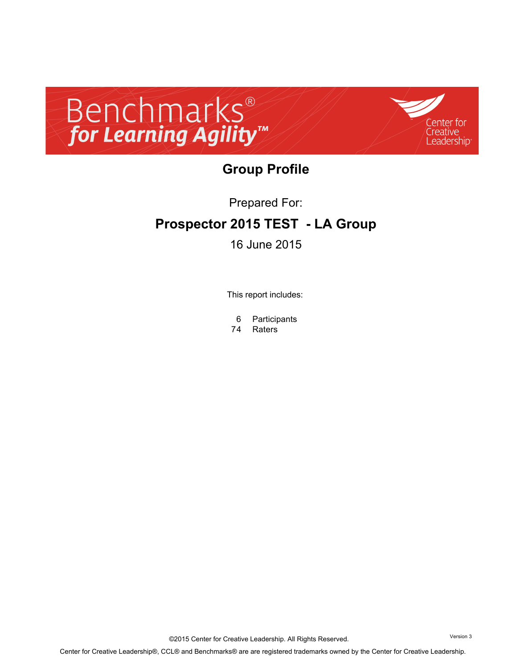



# **Group Profile**

Prepared For:

## **Prospector 2015 TEST - LA Group**

### 16 June 2015

This report includes:

6 Participants

74 Raters

©2015 Center for Creative Leadership. All Rights Reserved. Version 3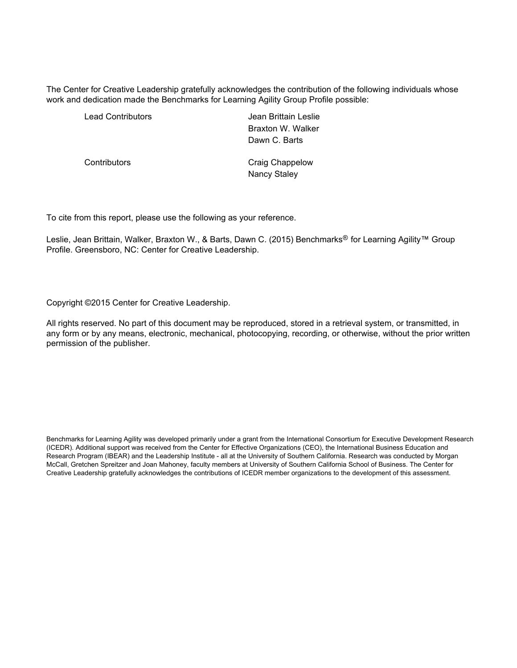The Center for Creative Leadership gratefully acknowledges the contribution of the following individuals whose work and dedication made the Benchmarks for Learning Agility Group Profile possible:

Lead Contributors **Contributors Jean Brittain Leslie** Braxton W. Walker Dawn C. Barts

Contributors **Contributors** Craig Chappelow Nancy Staley

To cite from this report, please use the following as your reference.

Leslie, Jean Brittain, Walker, Braxton W., & Barts, Dawn C. (2015) Benchmarks<sup>®</sup> for Learning Agility™ Group Profile. Greensboro, NC: Center for Creative Leadership.

Copyright ©2015 Center for Creative Leadership.

All rights reserved. No part of this document may be reproduced, stored in a retrieval system, or transmitted, in any form or by any means, electronic, mechanical, photocopying, recording, or otherwise, without the prior written permission of the publisher.

Benchmarks for Learning Agility was developed primarily under a grant from the International Consortium for Executive Development Research (ICEDR). Additional support was received from the Center for Effective Organizations (CEO), the International Business Education and Research Program (IBEAR) and the Leadership Institute - all at the University of Southern California. Research was conducted by Morgan McCall, Gretchen Spreitzer and Joan Mahoney, faculty members at University of Southern California School of Business. The Center for Creative Leadership gratefully acknowledges the contributions of ICEDR member organizations to the development of this assessment.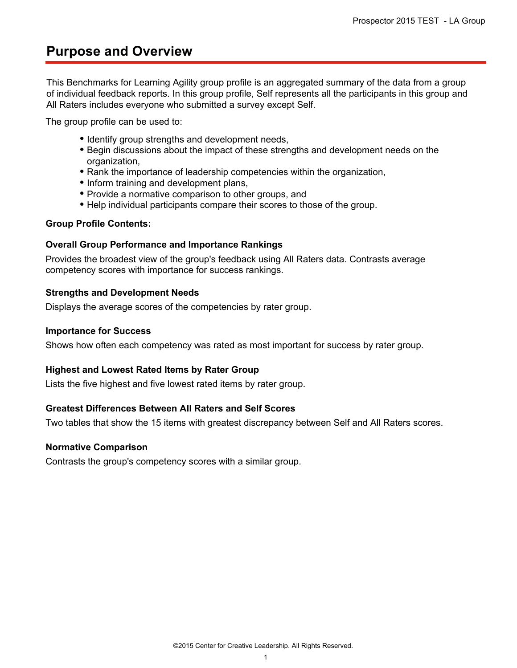## **Purpose and Overview**

This Benchmarks for Learning Agility group profile is an aggregated summary of the data from a group of individual feedback reports. In this group profile, Self represents all the participants in this group and All Raters includes everyone who submitted a survey except Self.

The group profile can be used to:

- Identify group strengths and development needs,
- Begin discussions about the impact of these strengths and development needs on the organization,
- Rank the importance of leadership competencies within the organization,
- Inform training and development plans,
- Provide a normative comparison to other groups, and
- Help individual participants compare their scores to those of the group.

#### **Group Profile Contents:**

#### **Overall Group Performance and Importance Rankings**

Provides the broadest view of the group's feedback using All Raters data. Contrasts average competency scores with importance for success rankings.

#### **Strengths and Development Needs**

Displays the average scores of the competencies by rater group.

#### **Importance for Success**

Shows how often each competency was rated as most important for success by rater group.

### **Highest and Lowest Rated Items by Rater Group**

Lists the five highest and five lowest rated items by rater group.

### **Greatest Differences Between All Raters and Self Scores**

Two tables that show the 15 items with greatest discrepancy between Self and All Raters scores.

#### **Normative Comparison**

Contrasts the group's competency scores with a similar group.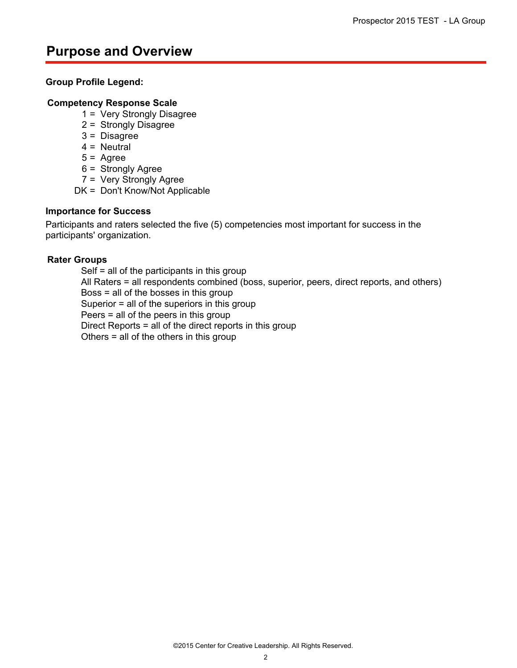## **Purpose and Overview**

### **Group Profile Legend:**

### **Competency Response Scale**

- 1 = Very Strongly Disagree
- 2 = Strongly Disagree
- 3 = Disagree
- $4 =$  Neutral
- $5 = \text{Agree}$
- 6 = Strongly Agree
- 7 = Very Strongly Agree
- DK = Don't Know/Not Applicable

### **Importance for Success**

Participants and raters selected the five (5) competencies most important for success in the participants' organization.

#### **Rater Groups**

Self = all of the participants in this group All Raters = all respondents combined (boss, superior, peers, direct reports, and others) Boss = all of the bosses in this group Superior = all of the superiors in this group Peers = all of the peers in this group Direct Reports = all of the direct reports in this group Others = all of the others in this group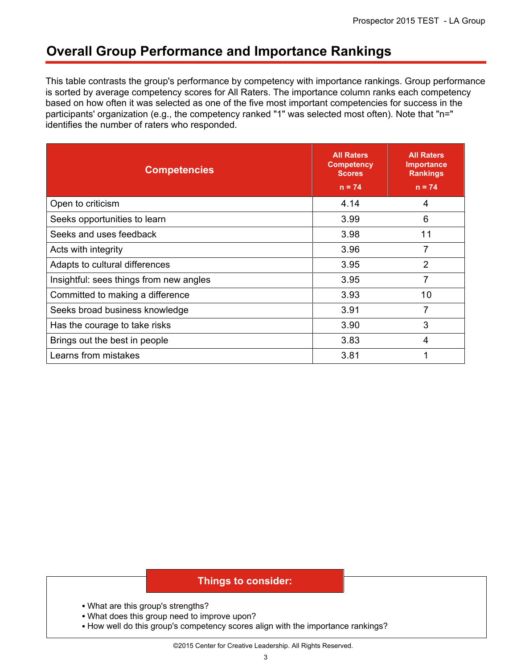## **Overall Group Performance and Importance Rankings**

This table contrasts the group's performance by competency with importance rankings. Group performance is sorted by average competency scores for All Raters. The importance column ranks each competency based on how often it was selected as one of the five most important competencies for success in the participants' organization (e.g., the competency ranked "1" was selected most often). Note that "n=" identifies the number of raters who responded.

| <b>Competencies</b>                     | <b>All Raters</b><br><b>Competency</b><br><b>Scores</b><br>$n = 74$ | <b>All Raters</b><br><b>Importance</b><br><b>Rankings</b><br>$n = 74$ |
|-----------------------------------------|---------------------------------------------------------------------|-----------------------------------------------------------------------|
| Open to criticism                       | 4.14                                                                | 4                                                                     |
| Seeks opportunities to learn            | 3.99                                                                | 6                                                                     |
| Seeks and uses feedback                 | 3.98                                                                | 11                                                                    |
| Acts with integrity                     | 3.96                                                                | 7                                                                     |
| Adapts to cultural differences          | 3.95                                                                | $\overline{2}$                                                        |
| Insightful: sees things from new angles | 3.95                                                                | 7                                                                     |
| Committed to making a difference        | 3.93                                                                | 10                                                                    |
| Seeks broad business knowledge          | 3.91                                                                | 7                                                                     |
| Has the courage to take risks           | 3.90                                                                | 3                                                                     |
| Brings out the best in people           | 3.83                                                                | 4                                                                     |
| Learns from mistakes                    | 3.81                                                                |                                                                       |

- What are this group's strengths?
- What does this group need to improve upon?
- How well do this group's competency scores align with the importance rankings?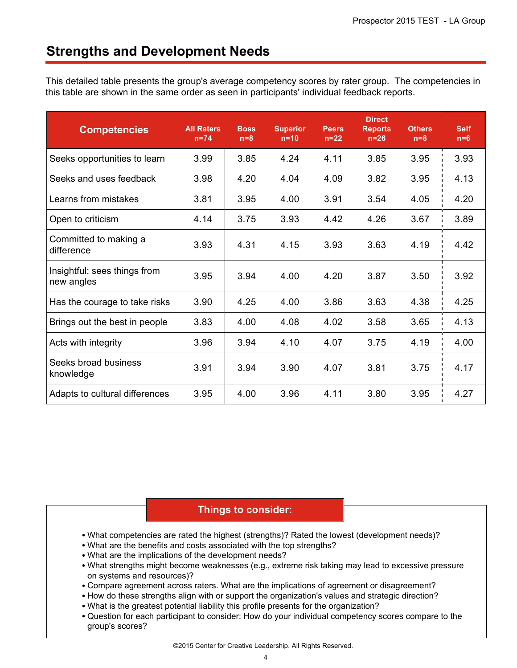## **Strengths and Development Needs**

This detailed table presents the group's average competency scores by rater group. The competencies in this table are shown in the same order as seen in participants' individual feedback reports.

| <b>Competencies</b>                        | <b>All Raters</b><br>$n=74$ | <b>Boss</b><br>$n=8$ | <b>Superior</b><br>$n=10$ | <b>Peers</b><br>$n=22$ | <b>Direct</b><br><b>Reports</b><br>$n=26$ | <b>Others</b><br>$n=8$ | <b>Self</b><br>$n=6$ |
|--------------------------------------------|-----------------------------|----------------------|---------------------------|------------------------|-------------------------------------------|------------------------|----------------------|
| Seeks opportunities to learn               | 3.99                        | 3.85                 | 4.24                      | 4.11                   | 3.85                                      | 3.95                   | 3.93                 |
| Seeks and uses feedback                    | 3.98                        | 4.20                 | 4.04                      | 4.09                   | 3.82                                      | 3.95                   | 4.13                 |
| Learns from mistakes                       | 3.81                        | 3.95                 | 4.00                      | 3.91                   | 3.54                                      | 4.05                   | 4.20                 |
| Open to criticism                          | 4.14                        | 3.75                 | 3.93                      | 4.42                   | 4.26                                      | 3.67                   | 3.89                 |
| Committed to making a<br>difference        | 3.93                        | 4.31                 | 4.15                      | 3.93                   | 3.63                                      | 4.19                   | 4.42                 |
| Insightful: sees things from<br>new angles | 3.95                        | 3.94                 | 4.00                      | 4.20                   | 3.87                                      | 3.50                   | 3.92                 |
| Has the courage to take risks              | 3.90                        | 4.25                 | 4.00                      | 3.86                   | 3.63                                      | 4.38                   | 4.25                 |
| Brings out the best in people              | 3.83                        | 4.00                 | 4.08                      | 4.02                   | 3.58                                      | 3.65                   | 4.13                 |
| Acts with integrity                        | 3.96                        | 3.94                 | 4.10                      | 4.07                   | 3.75                                      | 4.19                   | 4.00                 |
| Seeks broad business<br>knowledge          | 3.91                        | 3.94                 | 3.90                      | 4.07                   | 3.81                                      | 3.75                   | 4.17                 |
| Adapts to cultural differences             | 3.95                        | 4.00                 | 3.96                      | 4.11                   | 3.80                                      | 3.95                   | 4.27                 |

- What competencies are rated the highest (strengths)? Rated the lowest (development needs)?
- What are the benefits and costs associated with the top strengths?
- What are the implications of the development needs?
- What strengths might become weaknesses (e.g., extreme risk taking may lead to excessive pressure on systems and resources)?
- Compare agreement across raters. What are the implications of agreement or disagreement?
- How do these strengths align with or support the organization's values and strategic direction?
- What is the greatest potential liability this profile presents for the organization?
- Question for each participant to consider: How do your individual competency scores compare to the group's scores?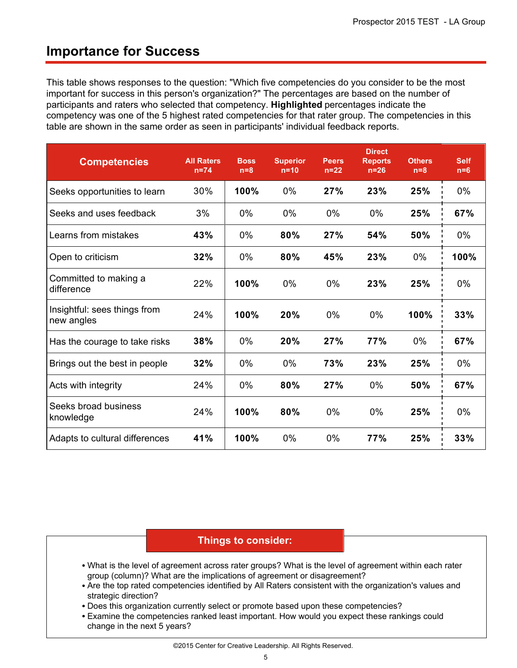### **Importance for Success**

This table shows responses to the question: "Which five competencies do you consider to be the most important for success in this person's organization?" The percentages are based on the number of participants and raters who selected that competency. **Highlighted** percentages indicate the competency was one of the 5 highest rated competencies for that rater group. The competencies in this table are shown in the same order as seen in participants' individual feedback reports.

| <b>Competencies</b>                        | <b>All Raters</b><br>$n=74$ | <b>Boss</b><br>$n=8$ | <b>Superior</b><br>$n=10$ | <b>Peers</b><br>$n=22$ | <b>Direct</b><br><b>Reports</b><br>$n=26$ | <b>Others</b><br>$n=8$ | <b>Self</b><br>$n=6$ |
|--------------------------------------------|-----------------------------|----------------------|---------------------------|------------------------|-------------------------------------------|------------------------|----------------------|
| Seeks opportunities to learn               | 30%                         | 100%                 | $0\%$                     | 27%                    | 23%                                       | 25%                    | 0%                   |
| Seeks and uses feedback                    | 3%                          | 0%                   | $0\%$                     | 0%                     | 0%                                        | 25%                    | 67%                  |
| Learns from mistakes                       | 43%                         | $0\%$                | 80%                       | 27%                    | 54%                                       | 50%                    | $0\%$                |
| Open to criticism                          | 32%                         | 0%                   | 80%                       | 45%                    | 23%                                       | 0%                     | 100%                 |
| Committed to making a<br>difference        | 22%                         | 100%                 | 0%                        | 0%                     | 23%                                       | 25%                    | 0%                   |
| Insightful: sees things from<br>new angles | 24%                         | 100%                 | 20%                       | 0%                     | 0%                                        | 100%                   | 33%                  |
| Has the courage to take risks              | 38%                         | 0%                   | 20%                       | 27%                    | 77%                                       | $0\%$                  | 67%                  |
| Brings out the best in people              | 32%                         | $0\%$                | 0%                        | 73%                    | 23%                                       | 25%                    | $0\%$                |
| Acts with integrity                        | 24%                         | $0\%$                | 80%                       | 27%                    | 0%                                        | 50%                    | 67%                  |
| Seeks broad business<br>knowledge          | 24%                         | 100%                 | 80%                       | $0\%$                  | 0%                                        | 25%                    | $0\%$                |
| Adapts to cultural differences             | 41%                         | 100%                 | 0%                        | 0%                     | 77%                                       | 25%                    | 33%                  |

- What is the level of agreement across rater groups? What is the level of agreement within each rater group (column)? What are the implications of agreement or disagreement?
- Are the top rated competencies identified by All Raters consistent with the organization's values and strategic direction?
- Does this organization currently select or promote based upon these competencies?
- Examine the competencies ranked least important. How would you expect these rankings could change in the next 5 years?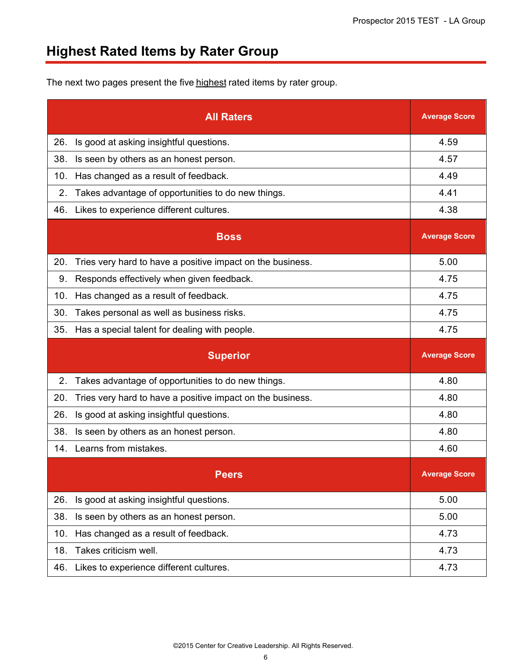# **Highest Rated Items by Rater Group**

The next two pages present the five highest rated items by rater group.

|     | <b>All Raters</b>                                          | <b>Average Score</b> |
|-----|------------------------------------------------------------|----------------------|
| 26. | Is good at asking insightful questions.                    | 4.59                 |
| 38. | Is seen by others as an honest person.                     | 4.57                 |
| 10. | Has changed as a result of feedback.                       | 4.49                 |
| 2.  | Takes advantage of opportunities to do new things.         | 4.41                 |
| 46. | Likes to experience different cultures.                    | 4.38                 |
|     | <b>Boss</b>                                                | <b>Average Score</b> |
| 20. | Tries very hard to have a positive impact on the business. | 5.00                 |
| 9.  | Responds effectively when given feedback.                  | 4.75                 |
| 10. | Has changed as a result of feedback.                       | 4.75                 |
| 30. | Takes personal as well as business risks.                  | 4.75                 |
| 35. | Has a special talent for dealing with people.              | 4.75                 |
|     |                                                            |                      |
|     | <b>Superior</b>                                            | <b>Average Score</b> |
| 2.  | Takes advantage of opportunities to do new things.         | 4.80                 |
| 20. | Tries very hard to have a positive impact on the business. | 4.80                 |
| 26. | Is good at asking insightful questions.                    | 4.80                 |
| 38. | Is seen by others as an honest person.                     | 4.80                 |
| 14. | Learns from mistakes.                                      | 4.60                 |
|     | <b>Peers</b>                                               | <b>Average Score</b> |
| 26. | Is good at asking insightful questions.                    | 5.00                 |
| 38. | Is seen by others as an honest person.                     | 5.00                 |
| 10. | Has changed as a result of feedback.                       | 4.73                 |
| 18. | Takes criticism well.                                      | 4.73                 |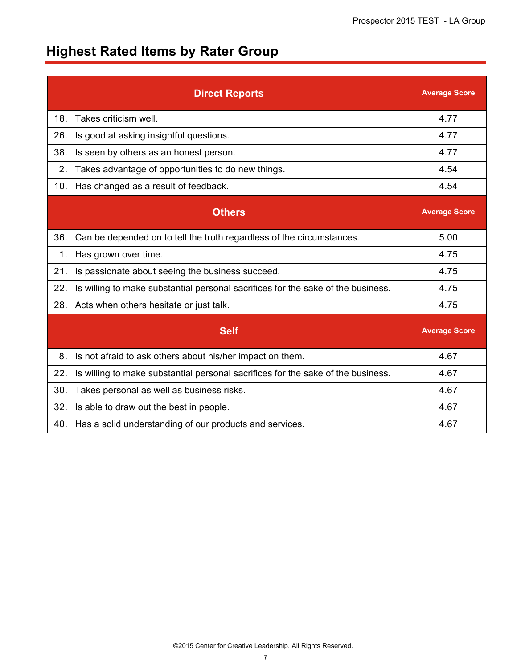# **Highest Rated Items by Rater Group**

|                | <b>Direct Reports</b>                                                            | <b>Average Score</b> |
|----------------|----------------------------------------------------------------------------------|----------------------|
| 18.            | Takes criticism well.                                                            | 4.77                 |
| 26.            | Is good at asking insightful questions.                                          | 4.77                 |
| 38.            | Is seen by others as an honest person.                                           | 4.77                 |
| 2 <sub>1</sub> | Takes advantage of opportunities to do new things.                               | 4.54                 |
| 10.            | Has changed as a result of feedback.                                             | 4.54                 |
|                | <b>Others</b>                                                                    | <b>Average Score</b> |
| 36.            | Can be depended on to tell the truth regardless of the circumstances.            | 5.00                 |
| 1.             | Has grown over time.                                                             | 4.75                 |
| 21.            | Is passionate about seeing the business succeed.                                 | 4.75                 |
| 22.            | Is willing to make substantial personal sacrifices for the sake of the business. | 4.75                 |
| 28.            | Acts when others hesitate or just talk.                                          | 4.75                 |
|                | <b>Self</b>                                                                      | <b>Average Score</b> |
| 8.             | Is not afraid to ask others about his/her impact on them.                        | 4.67                 |
| 22.            | Is willing to make substantial personal sacrifices for the sake of the business. | 4.67                 |
| 30.            | Takes personal as well as business risks.                                        | 4.67                 |
| 32.            | Is able to draw out the best in people.                                          | 4.67                 |
| 40.            | Has a solid understanding of our products and services.                          | 4.67                 |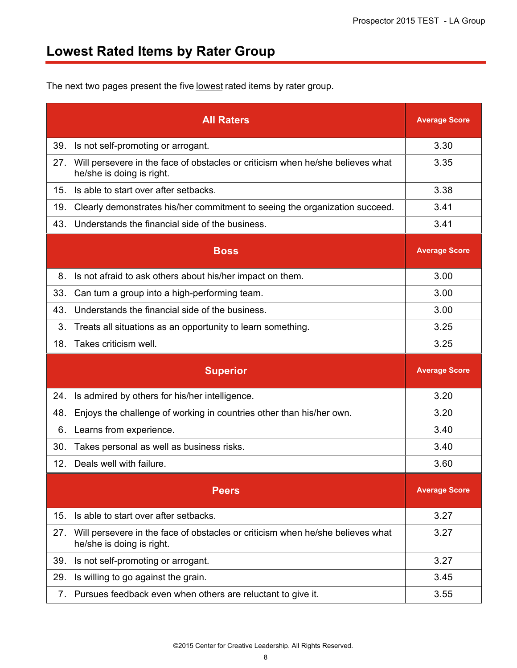# **Lowest Rated Items by Rater Group**

The next two pages present the five lowest rated items by rater group.

|     | <b>All Raters</b>                                                                                           | <b>Average Score</b> |
|-----|-------------------------------------------------------------------------------------------------------------|----------------------|
| 39. | Is not self-promoting or arrogant.                                                                          | 3.30                 |
| 27. | Will persevere in the face of obstacles or criticism when he/she believes what<br>he/she is doing is right. | 3.35                 |
| 15. | Is able to start over after setbacks.                                                                       | 3.38                 |
| 19. | Clearly demonstrates his/her commitment to seeing the organization succeed.                                 | 3.41                 |
| 43. | Understands the financial side of the business.                                                             | 3.41                 |
|     | <b>Boss</b>                                                                                                 | <b>Average Score</b> |
| 8.  | Is not afraid to ask others about his/her impact on them.                                                   | 3.00                 |
| 33. | Can turn a group into a high-performing team.                                                               | 3.00                 |
| 43. | Understands the financial side of the business.                                                             | 3.00                 |
| 3.  | Treats all situations as an opportunity to learn something.                                                 | 3.25                 |
| 18. | Takes criticism well.                                                                                       | 3.25                 |
|     |                                                                                                             |                      |
|     | <b>Superior</b>                                                                                             | <b>Average Score</b> |
| 24. | Is admired by others for his/her intelligence.                                                              | 3.20                 |
| 48. | Enjoys the challenge of working in countries other than his/her own.                                        | 3.20                 |
| 6.  | Learns from experience.                                                                                     | 3.40                 |
| 30. | Takes personal as well as business risks.                                                                   | 3.40                 |
| 12. | Deals well with failure.                                                                                    | 3.60                 |
|     | <b>Peers</b>                                                                                                | <b>Average Score</b> |
| 15. | Is able to start over after setbacks.                                                                       | 3.27                 |
| 27. | Will persevere in the face of obstacles or criticism when he/she believes what<br>he/she is doing is right. | 3.27                 |
| 39. | Is not self-promoting or arrogant.                                                                          | 3.27                 |
| 29. | Is willing to go against the grain.                                                                         | 3.45                 |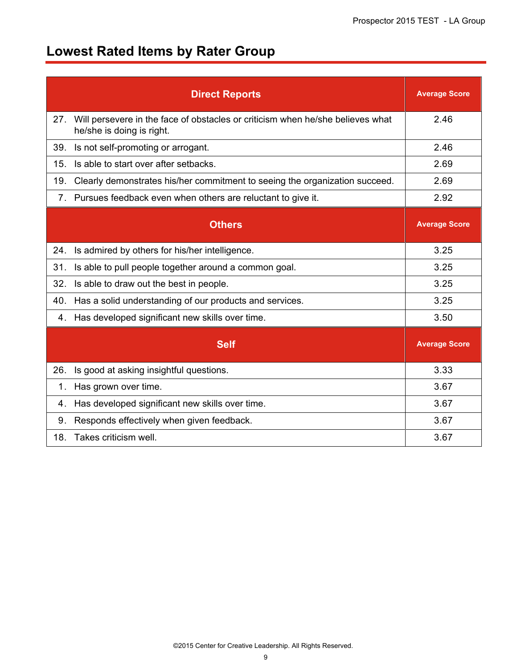# **Lowest Rated Items by Rater Group**

|                | <b>Direct Reports</b>                                                                                       | <b>Average Score</b> |
|----------------|-------------------------------------------------------------------------------------------------------------|----------------------|
| 27.            | Will persevere in the face of obstacles or criticism when he/she believes what<br>he/she is doing is right. | 2.46                 |
| 39.            | Is not self-promoting or arrogant.                                                                          | 2.46                 |
| 15.            | Is able to start over after setbacks.                                                                       | 2.69                 |
| 19.            | Clearly demonstrates his/her commitment to seeing the organization succeed.                                 | 2.69                 |
| 7 <sub>1</sub> | Pursues feedback even when others are reluctant to give it.                                                 | 2.92                 |
|                | <b>Others</b>                                                                                               | <b>Average Score</b> |
| 24.            | Is admired by others for his/her intelligence.                                                              | 3.25                 |
| 31.            | Is able to pull people together around a common goal.                                                       | 3.25                 |
| 32.            | Is able to draw out the best in people.                                                                     | 3.25                 |
| 40.            | Has a solid understanding of our products and services.                                                     | 3.25                 |
| 4.             | Has developed significant new skills over time.                                                             | 3.50                 |
|                | <b>Self</b>                                                                                                 | <b>Average Score</b> |
| 26.            | Is good at asking insightful questions.                                                                     | 3.33                 |
| 1.             | Has grown over time.                                                                                        | 3.67                 |
| 4.             | Has developed significant new skills over time.                                                             | 3.67                 |
| 9.             | Responds effectively when given feedback.                                                                   | 3.67                 |
| 18.            | Takes criticism well.                                                                                       | 3.67                 |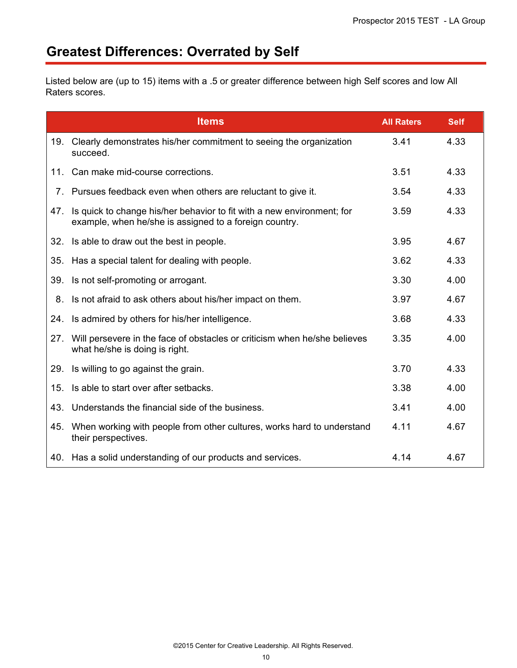# **Greatest Differences: Overrated by Self**

Listed below are (up to 15) items with a .5 or greater difference between high Self scores and low All Raters scores.

|     | <b>Items</b>                                                                                                                     | <b>All Raters</b> | <b>Self</b> |
|-----|----------------------------------------------------------------------------------------------------------------------------------|-------------------|-------------|
| 19. | Clearly demonstrates his/her commitment to seeing the organization<br>succeed.                                                   | 3.41              | 4.33        |
| 11. | Can make mid-course corrections.                                                                                                 | 3.51              | 4.33        |
|     | 7. Pursues feedback even when others are reluctant to give it.                                                                   | 3.54              | 4.33        |
| 47. | Is quick to change his/her behavior to fit with a new environment; for<br>example, when he/she is assigned to a foreign country. | 3.59              | 4.33        |
| 32. | Is able to draw out the best in people.                                                                                          | 3.95              | 4.67        |
| 35. | Has a special talent for dealing with people.                                                                                    | 3.62              | 4.33        |
| 39. | Is not self-promoting or arrogant.                                                                                               | 3.30              | 4.00        |
| 8.  | Is not afraid to ask others about his/her impact on them.                                                                        | 3.97              | 4.67        |
| 24. | Is admired by others for his/her intelligence.                                                                                   | 3.68              | 4.33        |
| 27. | Will persevere in the face of obstacles or criticism when he/she believes<br>what he/she is doing is right.                      | 3.35              | 4.00        |
| 29. | Is willing to go against the grain.                                                                                              | 3.70              | 4.33        |
| 15. | Is able to start over after setbacks.                                                                                            | 3.38              | 4.00        |
| 43. | Understands the financial side of the business.                                                                                  | 3.41              | 4.00        |
| 45. | When working with people from other cultures, works hard to understand<br>their perspectives.                                    | 4.11              | 4.67        |
| 40. | Has a solid understanding of our products and services.                                                                          | 4.14              | 4.67        |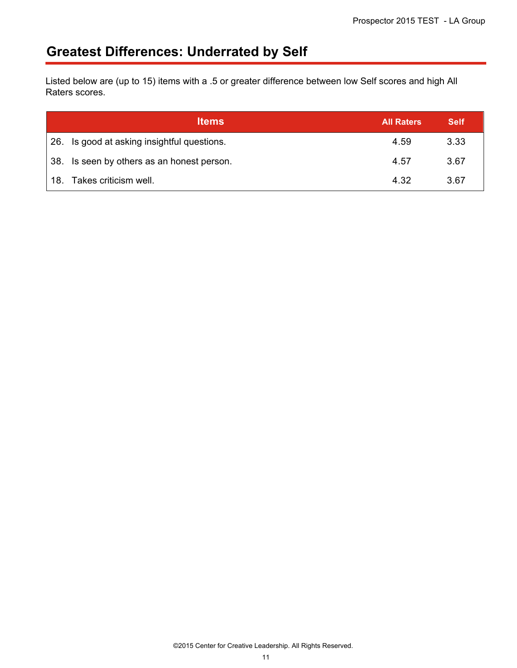# **Greatest Differences: Underrated by Self**

Listed below are (up to 15) items with a .5 or greater difference between low Self scores and high All Raters scores.

|     | <b>Items</b>                                | <b>All Raters</b> | <b>Self</b> |
|-----|---------------------------------------------|-------------------|-------------|
|     | 26. Is good at asking insightful questions. | 4.59              | 3.33        |
|     | 38. Is seen by others as an honest person.  | 4.57              | 3.67        |
| 18. | Takes criticism well.                       | 4.32              | 3.67        |